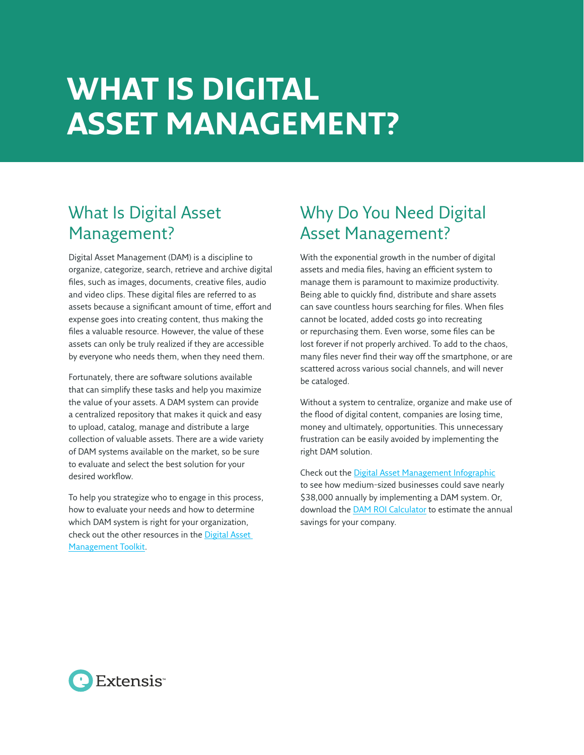## **WHAT IS DIGITAL ASSET MANAGEMENT?**

## What Is Digital Asset Management?

Digital Asset Management (DAM) is a discipline to organize, categorize, search, retrieve and archive digital files, such as images, documents, creative files, audio and video clips. These digital files are referred to as assets because a significant amount of time, effort and expense goes into creating content, thus making the files a valuable resource. However, the value of these assets can only be truly realized if they are accessible by everyone who needs them, when they need them.

Fortunately, there are software solutions available that can simplify these tasks and help you maximize the value of your assets. A DAM system can provide a centralized repository that makes it quick and easy to upload, catalog, manage and distribute a large collection of valuable assets. There are a wide variety of DAM systems available on the market, so be sure to evaluate and select the best solution for your desired workflow.

To help you strategize who to engage in this process, how to evaluate your needs and how to determine which DAM system is right for your organization, check out the other resources in the [Digital Asset](https://www.extensis.com/products/digital-asset-management/dam-toolkit/)  [Management Toolkit.](https://www.extensis.com/products/digital-asset-management/dam-toolkit/)

## Why Do You Need Digital Asset Management?

With the exponential growth in the number of digital assets and media files, having an efficient system to manage them is paramount to maximize productivity. Being able to quickly find, distribute and share assets can save countless hours searching for files. When files cannot be located, added costs go into recreating or repurchasing them. Even worse, some files can be lost forever if not properly archived. To add to the chaos, many files never find their way off the smartphone, or are scattered across various social channels, and will never be cataloged.

Without a system to centralize, organize and make use of the flood of digital content, companies are losing time, money and ultimately, opportunities. This unnecessary frustration can be easily avoided by implementing the right DAM solution.

Check out the [Digital Asset Management Infographic](https://www.extensis.com/blog/digital-asset-management/digital-asset-management-roi-infographic/) to see how medium-sized businesses could save nearly \$38,000 annually by implementing a DAM system. Or, download the [DAM ROI Calculator](https://www.extensis.com/products/digital-asset-management/portfolio/dam-online-roi-calculator/) to estimate the annual savings for your company.